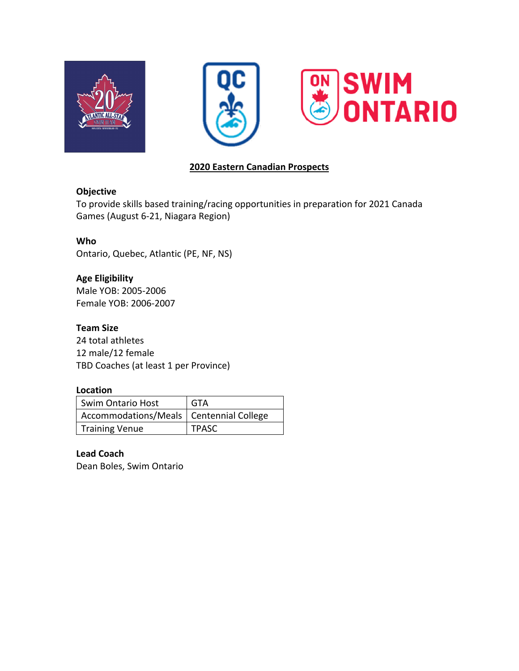





## **2020 Eastern Canadian Prospects**

### **Objective**

To provide skills based training/racing opportunities in preparation for 2021 Canada Games (August 6-21, Niagara Region)

## **Who**

Ontario, Quebec, Atlantic (PE, NF, NS)

**Age Eligibility** Male YOB: 2005-2006 Female YOB: 2006-2007

**Team Size** 24 total athletes 12 male/12 female TBD Coaches (at least 1 per Province)

## **Location**

| <b>Swim Ontario Host</b>                  | GTA          |
|-------------------------------------------|--------------|
| Accommodations/Meals   Centennial College |              |
| Training Venue                            | <b>TPASC</b> |

# **Lead Coach**

Dean Boles, Swim Ontario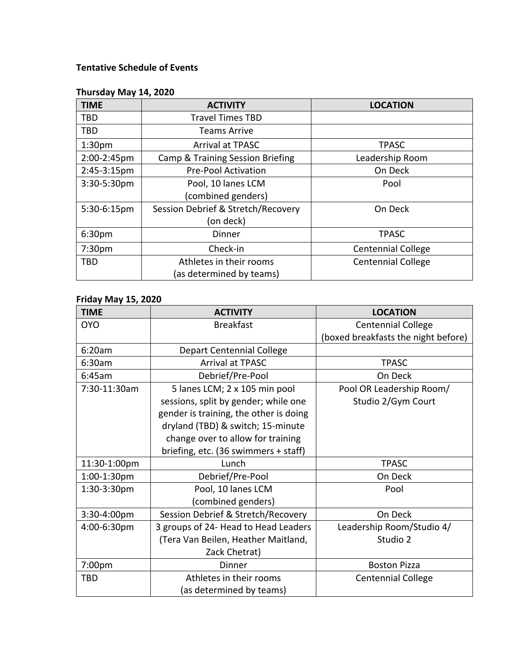# **Tentative Schedule of Events**

## **Thursday May 14, 2020**

| <b>TIME</b>        | <b>ACTIVITY</b>                             | <b>LOCATION</b>           |
|--------------------|---------------------------------------------|---------------------------|
| <b>TBD</b>         | <b>Travel Times TBD</b>                     |                           |
| <b>TBD</b>         | <b>Teams Arrive</b>                         |                           |
| 1:30 <sub>pm</sub> | <b>Arrival at TPASC</b>                     | <b>TPASC</b>              |
| 2:00-2:45pm        | <b>Camp &amp; Training Session Briefing</b> | Leadership Room           |
| 2:45-3:15pm        | <b>Pre-Pool Activation</b>                  | On Deck                   |
| 3:30-5:30pm        | Pool, 10 lanes LCM                          | Pool                      |
|                    | (combined genders)                          |                           |
| 5:30-6:15pm        | Session Debrief & Stretch/Recovery          | On Deck                   |
|                    | (on deck)                                   |                           |
| 6:30pm             | Dinner                                      | <b>TPASC</b>              |
| 7:30pm             | Check-in                                    | <b>Centennial College</b> |
| <b>TBD</b>         | Athletes in their rooms                     | <b>Centennial College</b> |
|                    | (as determined by teams)                    |                           |

#### **Friday May 15, 2020**

| <b>TIME</b>  | <b>ACTIVITY</b>                        | <b>LOCATION</b>                     |
|--------------|----------------------------------------|-------------------------------------|
| <b>OYO</b>   | <b>Breakfast</b>                       | <b>Centennial College</b>           |
|              |                                        | (boxed breakfasts the night before) |
| 6:20am       | <b>Depart Centennial College</b>       |                                     |
| 6:30am       | <b>Arrival at TPASC</b>                | <b>TPASC</b>                        |
| 6:45am       | Debrief/Pre-Pool                       | On Deck                             |
| 7:30-11:30am | 5 lanes LCM; 2 x 105 min pool          | Pool OR Leadership Room/            |
|              | sessions, split by gender; while one   | Studio 2/Gym Court                  |
|              | gender is training, the other is doing |                                     |
|              | dryland (TBD) & switch; 15-minute      |                                     |
|              | change over to allow for training      |                                     |
|              | briefing, etc. (36 swimmers + staff)   |                                     |
| 11:30-1:00pm | Lunch                                  | <b>TPASC</b>                        |
| 1:00-1:30pm  | Debrief/Pre-Pool                       | On Deck                             |
| 1:30-3:30pm  | Pool, 10 lanes LCM                     | Pool                                |
|              | (combined genders)                     |                                     |
| 3:30-4:00pm  | Session Debrief & Stretch/Recovery     | On Deck                             |
| 4:00-6:30pm  | 3 groups of 24- Head to Head Leaders   | Leadership Room/Studio 4/           |
|              | (Tera Van Beilen, Heather Maitland,    | Studio 2                            |
|              | Zack Chetrat)                          |                                     |
| 7:00pm       | Dinner                                 | <b>Boston Pizza</b>                 |
| <b>TBD</b>   | Athletes in their rooms                | <b>Centennial College</b>           |
|              | (as determined by teams)               |                                     |